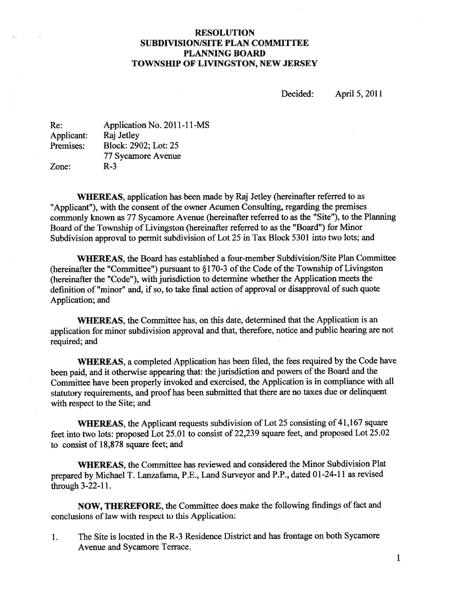# RESOLUTION SUBDIVISION/SITE PLAN COMMITTEE PLANNING BOARD TOWNSHIP OF LIVINGSTON, NEW JERSEY

Decided: April 5, 2011

| Re:        | Application No. 2011-11-MS |
|------------|----------------------------|
| Applicant: | Raj Jetley                 |
| Premises:  | Block: 2902; Lot: 25       |
|            | 77 Sycamore Avenue         |
| Zone:      | $R-3$                      |

WHEREAS, application has been made by Raj Jetley (hereinafter referred to as "Applicant"), with the consent of the owner Acumen Consulting, regarding the premises commonly known as <sup>77</sup> Sycamore Avenue (hereinafter referred to as the "Site"), to the Planning Board of the Township of Livingston (hereinafter referred to as the "Board") for Minor Subdivision approva<sup>l</sup> to permit subdivision of Lot <sup>25</sup> in Tax Block <sup>5301</sup> into two lots; and

WHEREAS, the Board has established a four-member Subdivision/Site Plan Committee (hereinafter the "Committee") pursuant to  $\S170-3$  of the Code of the Township of Livingston (hereinafter the "Code"), with jurisdiction to determine whether the Application meets the definition of "minor" and, if so, to take final action of approval or disapproval of such quote Application; and

WHEREAS, the Committee has, on this date, determined that the Application is an application for minor subdivision approva<sup>l</sup> and that, therefore, notice and public hearing are not required; and

WHEREAS, <sup>a</sup> completed Application has been filed, the fees required by the Code have been paid, and it otherwise appearing that: the jurisdiction and powers of the Board and the Committee have been properly invoked and exercised, the Application is in compliance with all statutory requirements, and proo<sup>f</sup> has been submitted that there are no taxes due or delinquent with respec<sup>t</sup> to the Site; and

WHEREAS, the Applicant requests subdivision of Lot 25 consisting of 41,167 square feet into two lots: propose<sup>d</sup> Lot 25.01 to consist of 22,239 square feet, and propose<sup>d</sup> Lot 25.02 to consist of 18,878 square feet; and

WhEREAS, the Committee has reviewed and considered the Minor Subdivision Plat prepare<sup>d</sup> by Michael T. Lanzafama, P.E., Land Surveyor and P.P., dated <sup>0</sup> 1-24-11 as revised through 3-22-11.

NOW, THEREFORE, the Committee does make the following findings of fact and conclusions of law with respec<sup>t</sup> to this Application:

1. The Site is located in the R-3 Residence District and has frontage on both Sycamore Avenue and Sycamore Terrace.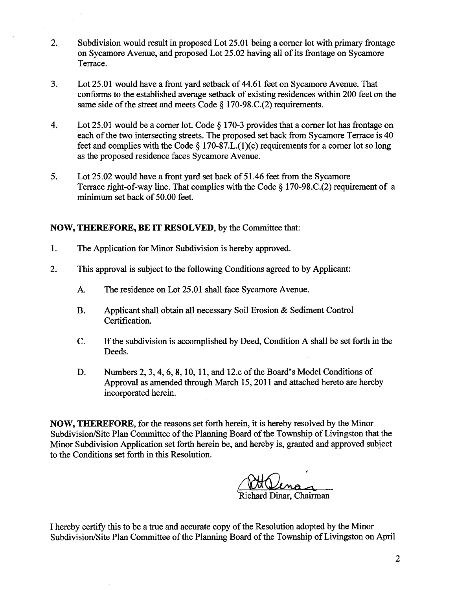- 2. Subdivision would result in proposed Lot 25.01 being <sup>a</sup> corner lot with primary frontage on Sycamore Avenue, and proposed Lot 25.02 having all of its frontage on Sycamore Terrace.
- 3. Lot 25.01 would have <sup>a</sup> front yard setback of 44.61 feet on Sycamore Avenue. That conforms to the established average setback of existing residences within 200 feet on the same side of the street and meets Code  $\S 170-98$ .C.(2) requirements.
- 4. Lot 25.01 would be <sup>a</sup> corner lot. Code § 170-3 provides that <sup>a</sup> corner lot has frontage on each of the two intersecting streets. The proposed set back from Sycamore Terrace is 40 feet and complies with the Code  $\S 170-87.L.(1)(c)$  requirements for a corner lot so long as the proposed residence faces Sycamore Avenue.
- 5. Lot 25.02 would have <sup>a</sup> front yard set back of 51.46 feet from the Sycamore Terrace right-of-way line. That complies with the Code § 170-98.C.(2) requirement of <sup>a</sup> minimum set back of 50.00 feet.

# NOW, THEREFORE, BE IT RESOLVED, by the Committee that:

- 1. The Application for Minor Subdivision is hereby approved.
- 2. This approval is subject to the following Conditions agreed to by Applicant:
	- A. The residence on Lot 25.01 shall face Sycamore Avenue.
	- B. Applicant shall obtain all necessary Soil Erosion & Sediment Control Certification.
	- C. Ifthe subdivision is accomplished by Deed, Condition A shall be set forth in the Deeds.
	- D. Numbers 2, 3, 4, 6, 8, 10, 11, and 12.c of the Board's Model Conditions of Approval as amended through March 15, 2011 and attached hereto are hereby incorporated herein.

NOW, THEREFORE, for the reasons set forth herein, it is hereby resolved by the Minor Subdivision/Site Plan Committee of the Planning Board of the Township of Livingston that the Minor Subdivision Application set forth herein be, and hereby is, granted and approved subject to the Conditions set forth in this Resolution.

chard Dinar. Chairman

<sup>I</sup> hereby certify this to be <sup>a</sup> true and accurate copy ofthe Resolution adopted by the Minor Subdivision/Site Plan Committee of the Planning Board of the Township of Livingston on April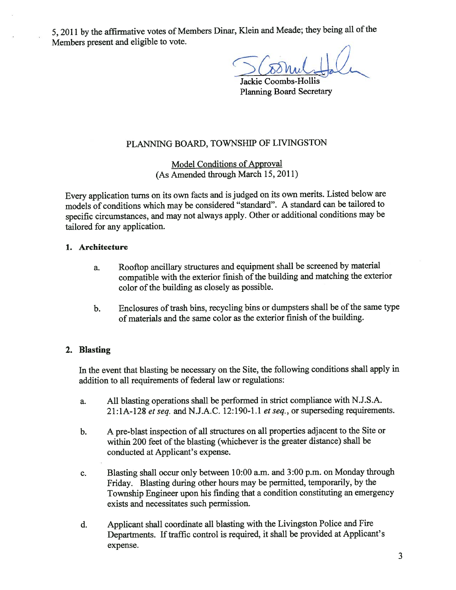5, 2011 by the affirmative votes of Members Dinar, Klein and Meade; they being all of the Members presen<sup>t</sup> and eligible to vote.

Jackie Coombs-Hollis Planning Board Secretary

# PLANNING BOARD, TOWNSHIP OF LIVINGSTON

Model Conditions of Approval (As Amended through March 15, 2011)

Every application turns on its own facts and isjudged on its own merits. Listed below are models of conditions which may be considered "standard". <sup>A</sup> standard can be tailored to specific circumstances, and may not always apply. Other or additional conditions may be tailored for any application.

### 1. Architecture

- a. Rooftop ancillary structures and equipment shall be screened by material compatible with the exterior finish of the building and matching the exterior color of the building as closely as possible.
- b. Enclosures of trash bins, recycling bins or dumpsters shall be of the same type of materials and the same color as the exterior finish of the building.

## 2. Blasting

In the event that blasting be necessary on the Site, the following conditions shall apply in addition to all requirements of federal law or regulations:

- a. All blasting operations shall be performed in strict compliance with N.J.S.A.  $21:1A-128$  et seq. and N.J.A.C. 12:190-1.1 et seq., or superseding requirements.
- b. <sup>A</sup> pre-blast inspection of all structures on all properties adjacent to the Site or within 200 feet of the blasting (whichever is the greater distance) shall be conducted at Applicant's expense.
- c. Blasting shall occur only between 10:00 a.m. and 3:00 p.m. on Monday through Friday. Blasting during other hours may be permitted, temporarily, by the Township Engineer upon his finding that <sup>a</sup> condition constituting an emergency exists and necessitates such permission.
- d. Applicant shall coordinate all blasting with the Livingston Police and Fire Departments. If traffic control is required, it shall be provided at Applicant's expense.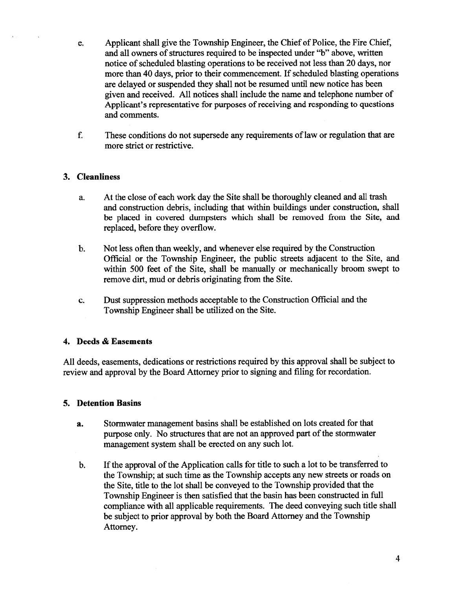- e. Applicant shall give the Township Engineer, the Chief of Police, the Fire Chief, and all owners of structures required to be inspected under "b" above, written notice of scheduled blasting operations to be received not less than 20 days, nor more than 40 days, prior to their commencement. If scheduled blasting operations are delayed or suspended they shall not be resumed until new notice has been given and received. All notices shall include the name and telephone number of Applicant's representative for purposes of receiving and responding to questions and comments.
- f. These conditions do not supersede any requirements of law or regulation that are more strict or restrictive.

## 3. Cleanliness

- a. At the close of each work day the Site shall be thoroughly cleaned and all trash and construction debris, including that within buildings under construction, shall be placed in covered dumpsters which shall be removed from the Site, and replaced, before they overflow.
- b. Not less often than weekly, and whenever else required by the Construction Official or the Township Engineer, the public streets adjacent to the Site, and within 500 feet of the Site, shall be manually or mechanically broom swep<sup>t</sup> to remove dirt, mud or debris originating from the Site.
- c. Dust suppression methods acceptable to the Construction Official and the Township Engineer shall be utilized on the Site.

## 4. Deeds & Easements

All deeds, easements, dedications or restrictions required by this approval shall be subject to review and approval by the Board Attorney prior to signing and filing for recordation.

## 5. Detention Basins

- a. Stormwater managemen<sup>t</sup> basins shall be established on lots created for that purpose only. No structures that are not an approved part of the stormwater managemen<sup>t</sup> system shall be erected on any such lot.
- b. If the approval of the Application calls for title to such a lot to be transferred to the Township; at such time as the Township accepts any new streets or roads on the Site, title to the lot shall be conveyed to the Township provided that the Township Engineer is then satisfied that the basin has been constructed in full compliance with all applicable requirements. The deed conveying such title shall be subject to prior approval by both the Board Attorney and the Township Attorney.

4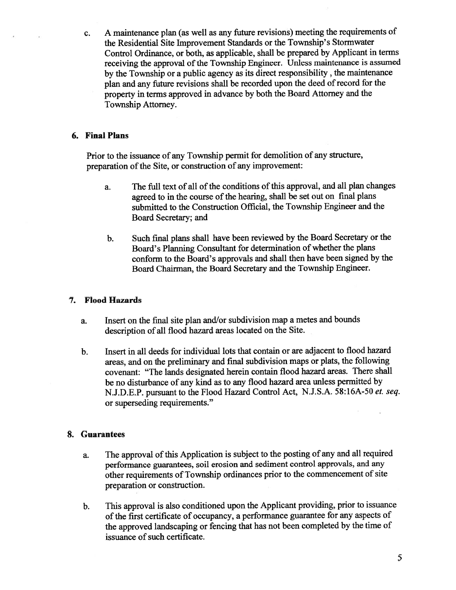c. <sup>A</sup> maintenance <sup>p</sup>lan (as well as any future revisions) meeting the requirements of the Residential Site Improvement Standards or the Township's Stormwater Control Ordinance, or both, as applicable, shall be prepare<sup>d</sup> by Applicant in terms receiving the approval of the Township Engineer. Unless maintenance is assumed by the Township or <sup>a</sup> public agency as its direct responsibility , the maintenance <sup>p</sup>lan and any future revisions shall be recorded upon the deed of record for the property in terms approve<sup>d</sup> in advance by both the Board Attorney and the Township Attorney.

# 6. Final Plans

Prior to the issuance of any Township permit for demolition of any structure, preparation of the Site, or construction of any improvement:

- a. The full text of all of the conditions of this approval, and all plan changes agreed to in the course of the hearing, shall be set out on final plans submitted to the Construction Official, the Township Engineer and the Board Secretary; and
- b. Such final <sup>p</sup>lans shall have been reviewed by the Board Secretary or the Board's Planning Consultant for determination of whether the <sup>p</sup>lans conform to the Board's approvals and shall then have been signed by the Board Chairman, the Board Secretary and the Township Engineer.

# 7. Flood Hazards

- a. Insert on the final site <sup>p</sup>lan and/or subdivision map <sup>a</sup> metes and bounds description of all flood hazard areas located on the Site.
- b. Insert in all deeds for individual lots that contain or are adjacent to flood hazard areas, and on the preliminary and final subdivision maps or <sup>p</sup>lats, the following covenant: "The lands designated herein contain flood hazard areas. There shall be no disturbance of any kind as to any flood hazard area unless permitted by N.J.D.E.P. pursuan<sup>t</sup> to the Flood Hazard Control Act, N.J.S.A. 58:16A-50 et. seq. or superseding requirements."

## 8. Guarantees

- a. The approval of this Application is subject to the posting of any and all required performance guarantees, soil erosion and sediment control approvals, and any other requirements of Township ordinances prior to the commencement of site preparation or construction.
- b. This approva<sup>l</sup> is also conditioned upon the Applicant providing, prior to issuance of the first certificate of occupancy, a performance guarantee for any aspects of the approve<sup>d</sup> landscaping or fencing that has not been completed by the time of issuance of such certificate.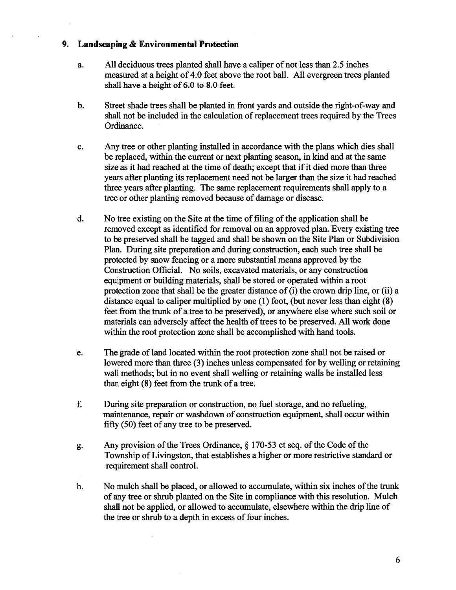### 9. Landscaping & Environmental Protection

- a. All deciduous trees planted shall have <sup>a</sup> caliper of not less than 2.5 inches measured at <sup>a</sup> height of 4.0 feet above the root ball. All evergreen trees planted shall have <sup>a</sup> height of 6.0 to 8.0 feet.
- b. Street shade trees shall be planted in front yards and outside the right-of-way and shall not be included in the calculation of replacement trees required by the Trees Ordinance.
- c. Any tree or other planting installed in accordance with the plans which dies shall be replaced, within the current or next planting season, in kind and at the same size as it had reached at the time of death; except that if it died more than three years after planting its replacement need not be larger than the size it had reached three years after planting. The same replacement requirements shall apply to <sup>a</sup> tree or other planting removed because of damage or disease.
- d. No tree existing on the Site at the time of filing of the application shall be removed excep<sup>t</sup> as identified for removal on an approved plan. Every existing tree to be preserved shall be tagged and shall be shown on the Site Plan or Subdivision Plan. During site preparation and during construction, each such tree shall be protected by snow fencing or <sup>a</sup> more substantial means approved by the Construction Official. No soils, excavated materials, or any construction equipment or building materials, shall be stored or operated within <sup>a</sup> root protection zone that shall be the greater distance of  $(i)$  the crown drip line, or  $(ii)$  a distance equal to caliper multiplied by one (1) foot, (but never less than eight (8) feet from the trunk of <sup>a</sup> tree to be preserved), or anywhere else where such soil or materials can adversely affect the health of trees to be preserved. All work done within the root protection zone shall be accomplished with hand tools.
- e. The grade of land located within the root protection zone shall not be raised or lowered more than three (3) inches unless compensated for by welling or retaining wall methods; but in no event shall welling or retaining walls be installed less than eight (8) feet from the trunk of <sup>a</sup> tree.
- f. During site preparation or construction, no fuel storage, and no refueling, maintenance, repair or washdown of construction equipment, shall occur within fifty (50) feet of any tree to be preserved.
- g. Any provision of the Trees Ordinance,  $\S 170-53$  et seq. of the Code of the Township of Livingston, that establishes a higher or more restrictive standard or requirement shall control.
- h. No mulch shall be placed, or allowed to accumulate, within six inches of the trunk of any tree or shrub planted on the Site in compliance with this resolution. Mulch shall not be applied, or allowed to accumulate, elsewhere within the drip line of the tree or shrub to a depth in excess of four inches.

6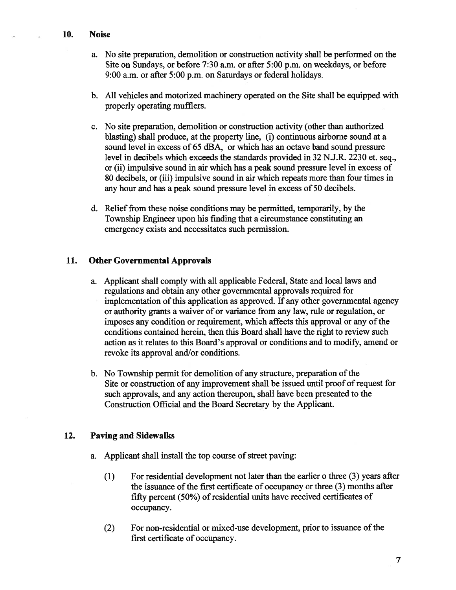- a. No site preparation, demolition or construction activity shall be performed on the Site on Sundays, or before 7:30 a.m. or after 5:00 p.m. on weekdays, or before 9:00 a.m. or after 5:00 p.m. on Saturdays or federal holidays.
- b. All vehicles and motorized machinery operated on the Site shall be equipped with properly operating mufflers.
- c. No site preparation, demolition or construction activity (other than authorized blasting) shall produce, at the property line, (i) continuous airborne sound at <sup>a</sup> sound level in excess of 65 dBA, or which has an octave band sound pressure level in decibels which exceeds the standards provided in 32 N.J.R. 2230 et. seq., or (ii) impulsive sound in air which has <sup>a</sup> peak sound pressure level in excess of 80 decibels, or (iii) impulsive sound in air which repeats more than four times in any hour and has <sup>a</sup> peak sound pressure level in excess of 50 decibels.
- d. Relief from these noise conditions may be permitted, temporarily, by the Township Engineer upon his finding that <sup>a</sup> circumstance constituting an emergency exists and necessitates such permission.

### 11. Other Governmental Approvals

- a. Applicant shall comply with all applicable Federal, State and local laws and regulations and obtain any other governmental approvals required for implementation of this application as approved. If any other governmental agency or authority grants <sup>a</sup> waiver of or variance from any law, rule or regulation, or imposes any condition or requirement, which affects this approval or any of the conditions contained herein, then this Board shall have the right to review such action as it relates to this Board's approval or conditions and to modify, amend or revoke its approval and/or conditions.
- b. No Township permit for demolition of any structure, preparation of the Site or construction of any improvement shall be issued until proof of request for such approvals, and any action thereupon, shall have been presented to the Construction Official and the Board Secretary by the Applicant.

#### 12. Paving and Sidewalks

- a. Applicant shall install the top course of street paving:
	- (1) For residential development not later than the earlier <sup>o</sup> three (3) years after the issuance of the first certificate of occupancy or three  $(3)$  months after fifty percent (50%) of residential units have received certificates of occupancy.
	- (2) For non-residential or mixed-use development, prior to issuance of the first certificate of occupancy.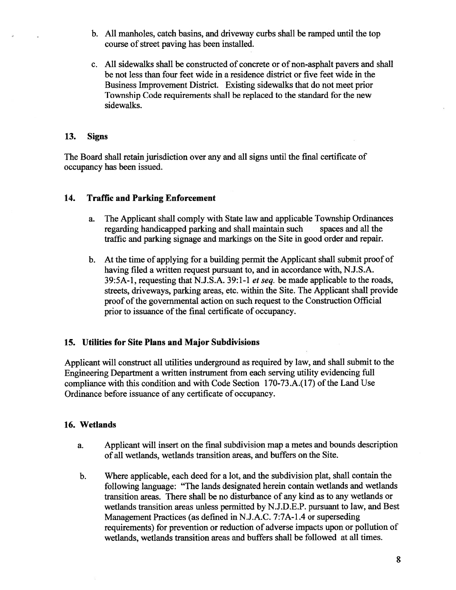- b. All manholes, catch basins, and driveway curbs shall be ramped until the top course of street paving has been installed.
- c. All sidewalks shall be constructed of concrete or of non-asphalt payers and shall be not less than four feet wide in <sup>a</sup> residence district or five feet wide in the Business Improvement District. Existing sidewalks that do not meet prior Township Code requirements shall be replaced to the standard for the new sidewalks.

#### 13. Signs

The Board shall retain jurisdiction over any and all signs until the final certificate of occupancy has been issued.

#### 14. Traffic and Parking Enforcement

- a. The Applicant shall comply with State law and applicable Township Ordinances regarding handicapped parking and shall maintain such spaces and all the traffic and parking signage and markings on the Site in good order and repair.
- b. At the time of applying for <sup>a</sup> building permit the Applicant shall submit proof of having filed <sup>a</sup> written reques<sup>t</sup> pursuan<sup>t</sup> to, and in accordance with, N.J.S.A. 39:5A-1, requesting that N.J.S.A. 39:1-1 *et seq.* be made applicable to the roads, streets, driveways, parking areas, etc. within the Site. The Applicant shall provide proof of the governmental action on such request to the Construction Official prior to issuance of the final certificate of occupancy.

#### 15. Utilities for Site Plans and Major Subdivisions

Applicant will construct all utilities underground as required by law, and shall submit to the Engineering Department <sup>a</sup> written instrument from each serving utility evidencing full compliance with this condition and with Code Section  $170-73.A.(17)$  of the Land Use Ordinance before issuance of any certificate of occupancy.

#### 16. Wetlands

- a. Applicant will insert on the final subdivision map <sup>a</sup> metes and bounds description of all wetlands, wetlands transition areas, and buffers on the Site.
- b. Where applicable, each deed for <sup>a</sup> lot, and the subdivision plat, shall contain the following language: "The lands designated herein contain wetlands and wetlands transition areas. There shall be no disturbance of any kind as to any wetlands or wetlands transition areas unless permitted by N.J.D.E.P. pursuan<sup>t</sup> to law, and Best Management Practices (as defined in N.J.A.C. 7:7A-1 .4 or superseding requirements) for prevention or reduction of adverse impacts upon or pollution of wetlands, wetlands transition areas and buffers shall be followed at all times.